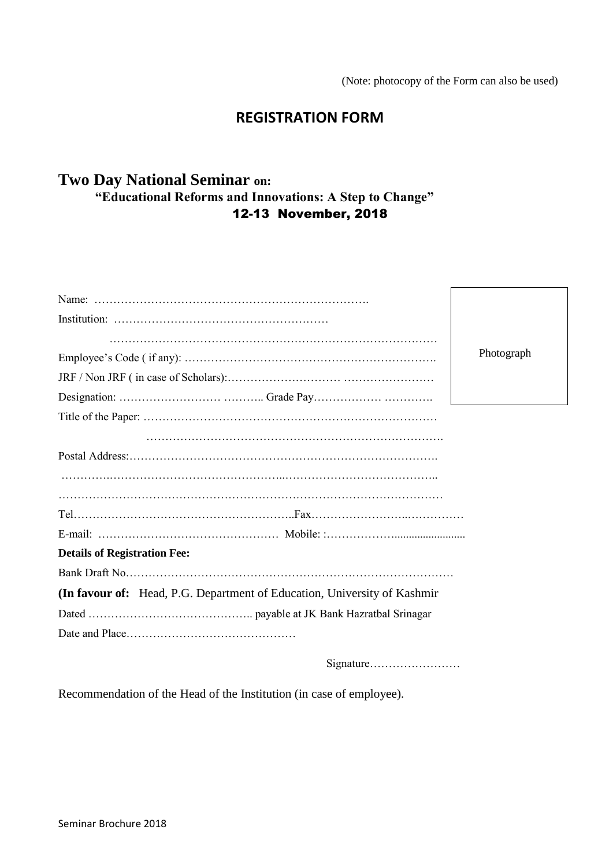(Note: photocopy of the Form can also be used)

# **REGISTRATION FORM**

# **Two Day National Seminar on: "Educational Reforms and Innovations: A Step to Change"** 12-13 November, 2018

| Photograph                                                               |  |  |  |
|--------------------------------------------------------------------------|--|--|--|
|                                                                          |  |  |  |
|                                                                          |  |  |  |
|                                                                          |  |  |  |
|                                                                          |  |  |  |
|                                                                          |  |  |  |
|                                                                          |  |  |  |
|                                                                          |  |  |  |
|                                                                          |  |  |  |
|                                                                          |  |  |  |
| <b>Details of Registration Fee:</b>                                      |  |  |  |
|                                                                          |  |  |  |
| (In favour of: Head, P.G. Department of Education, University of Kashmir |  |  |  |
|                                                                          |  |  |  |
|                                                                          |  |  |  |
|                                                                          |  |  |  |

Signature……………………

Recommendation of the Head of the Institution (in case of employee).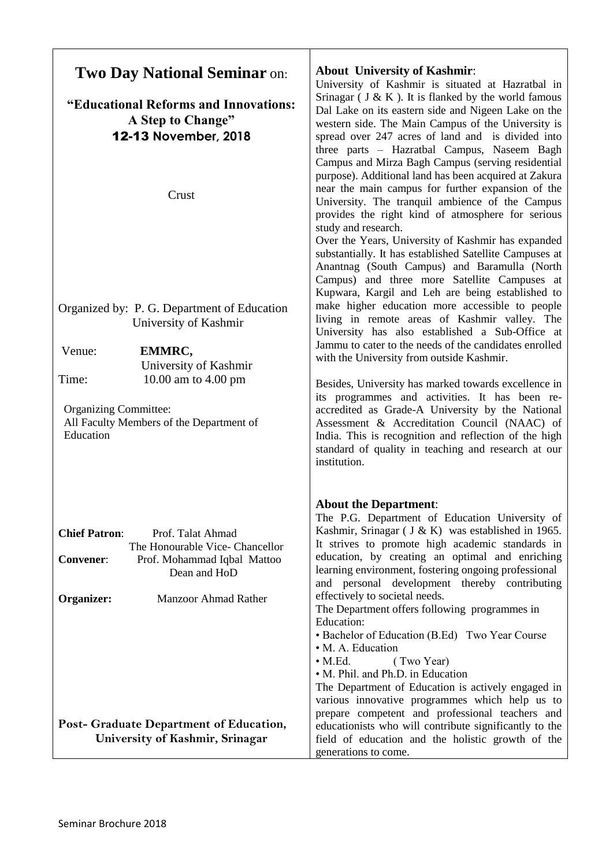| <b>Two Day National Seminar on:</b>                                                                                                             | <b>About University of Kashmir:</b><br>University of Kashmir is situated at Hazratbal in                                                                                                                                                                                                                                                                                                                                                              |  |
|-------------------------------------------------------------------------------------------------------------------------------------------------|-------------------------------------------------------------------------------------------------------------------------------------------------------------------------------------------------------------------------------------------------------------------------------------------------------------------------------------------------------------------------------------------------------------------------------------------------------|--|
| "Educational Reforms and Innovations:<br>A Step to Change"<br>12-13 November, 2018                                                              | Srinagar ( $J & K$ ). It is flanked by the world famous<br>Dal Lake on its eastern side and Nigeen Lake on the<br>western side. The Main Campus of the University is<br>spread over 247 acres of land and is divided into<br>three parts - Hazratbal Campus, Naseem Bagh<br>Campus and Mirza Bagh Campus (serving residential<br>purpose). Additional land has been acquired at Zakura                                                                |  |
| Crust                                                                                                                                           | near the main campus for further expansion of the<br>University. The tranquil ambience of the Campus<br>provides the right kind of atmosphere for serious<br>study and research.<br>Over the Years, University of Kashmir has expanded<br>substantially. It has established Satellite Campuses at<br>Anantnag (South Campus) and Baramulla (North<br>Campus) and three more Satellite Campuses at<br>Kupwara, Kargil and Leh are being established to |  |
| Organized by: P. G. Department of Education<br>University of Kashmir                                                                            | make higher education more accessible to people<br>living in remote areas of Kashmir valley. The<br>University has also established a Sub-Office at                                                                                                                                                                                                                                                                                                   |  |
| EMMRC,<br>Venue:<br>University of Kashmir                                                                                                       | Jammu to cater to the needs of the candidates enrolled<br>with the University from outside Kashmir.                                                                                                                                                                                                                                                                                                                                                   |  |
| Time:<br>10.00 am to 4.00 pm<br><b>Organizing Committee:</b><br>All Faculty Members of the Department of<br>Education                           | Besides, University has marked towards excellence in<br>its programmes and activities. It has been re-<br>accredited as Grade-A University by the National<br>Assessment & Accreditation Council (NAAC) of<br>India. This is recognition and reflection of the high<br>standard of quality in teaching and research at our<br>institution.                                                                                                            |  |
| <b>Chief Patron:</b><br>Prof. Talat Ahmad<br>The Honourable Vice- Chancellor<br>Prof. Mohammad Iqbal Mattoo<br><b>Convener:</b><br>Dean and HoD | <b>About the Department:</b><br>The P.G. Department of Education University of<br>Kashmir, Srinagar (J & K) was established in 1965.<br>It strives to promote high academic standards in<br>education, by creating an optimal and enriching<br>learning environment, fostering ongoing professional<br>and personal development thereby contributing                                                                                                  |  |
| Organizer:<br>Manzoor Ahmad Rather                                                                                                              | effectively to societal needs.<br>The Department offers following programmes in<br>Education:<br>• Bachelor of Education (B.Ed) Two Year Course<br>· M. A. Education<br>$\bullet$ M.Ed.<br>(Two Year)<br>• M. Phil. and Ph.D. in Education<br>The Department of Education is actively engaged in<br>various innovative programmes which help us to<br>prepare competent and professional teachers and                                                 |  |
| Post- Graduate Department of Education,<br>University of Kashmir, Srinagar                                                                      | educationists who will contribute significantly to the<br>field of education and the holistic growth of the<br>generations to come.                                                                                                                                                                                                                                                                                                                   |  |

┱

٦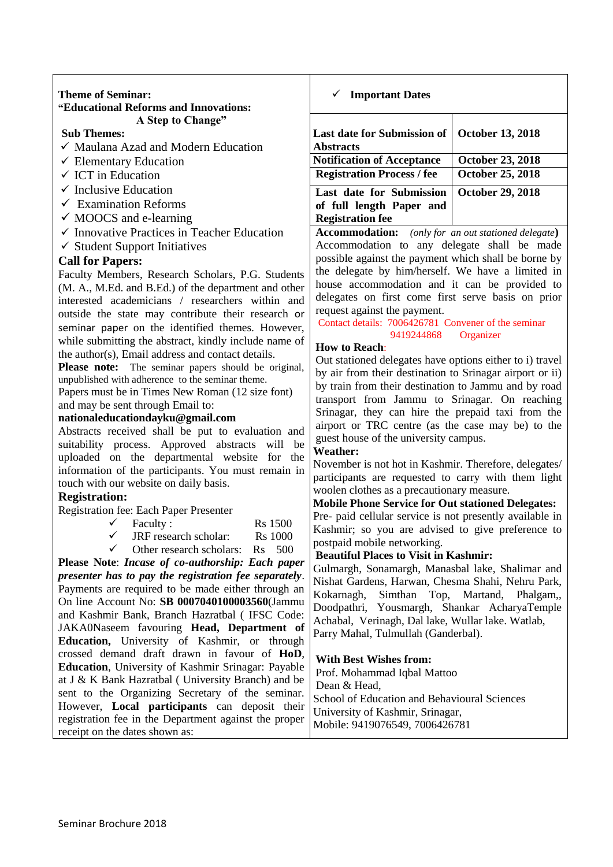## **Theme of Seminar: "Educational Reforms and Innovations: A Step to Change"**

## **Sub Themes:**

- $\checkmark$  Maulana Azad and Modern Education
- $\checkmark$  Elementary Education
- $\checkmark$  ICT in Education
- $\checkmark$  Inclusive Education
- $\checkmark$  Examination Reforms
- $\checkmark$  MOOCS and e-learning
- $\checkmark$  Innovative Practices in Teacher Education
- $\checkmark$  Student Support Initiatives

## **Call for Papers:**

Faculty Members, Research Scholars, P.G. Students (M. A., M.Ed. and B.Ed.) of the department and other interested academicians / researchers within and outside the state may contribute their research or seminar paper on the identified themes. However, while submitting the abstract, kindly include name of the author(s), Email address and contact details.

**Please note:** The seminar papers should be original, unpublished with adherence to the seminar theme.

Papers must be in Times New Roman (12 size font)

and may be sent through Email to:

## **nationaleducationdayku@gmail.com**

Abstracts received shall be put to evaluation and suitability process. Approved abstracts will be uploaded on the departmental website for the information of the participants. You must remain in touch with our website on daily basis.

## **Registration:**

Registration fee: Each Paper Presenter

| Faculty: |  | <b>Rs</b> 1500 |
|----------|--|----------------|
|          |  |                |

- $\checkmark$  JRF research scholar: Rs 1000
- $\checkmark$  Other research scholars: Rs 500

**Please Note**: *Incase of co-authorship: Each paper presenter has to pay the registration fee separately*. Payments are required to be made either through an On line Account No: **SB 0007040100003560**(Jammu and Kashmir Bank, Branch Hazratbal ( IFSC Code: JAKA0Naseem favouring **Head, Department of Education,** University of Kashmir, or through crossed demand draft drawn in favour of **HoD**, **Education**, University of Kashmir Srinagar: Payable at J & K Bank Hazratbal ( University Branch) and be sent to the Organizing Secretary of the seminar. However, **Local participants** can deposit their registration fee in the Department against the proper receipt on the dates shown as:

## ✓ **Important Dates**

| Last date for Submission of  <br><b>Abstracts</b>                               | <b>October 13, 2018</b> |
|---------------------------------------------------------------------------------|-------------------------|
| <b>Notification of Acceptance</b>                                               | <b>October 23, 2018</b> |
| <b>Registration Process / fee</b>                                               | <b>October 25, 2018</b> |
| Last date for Submission<br>of full length Paper and<br><b>Registration fee</b> | <b>October 29, 2018</b> |

**Accommodation:** *(only for an out stationed delegate***)** Accommodation to any delegate shall be made possible against the payment which shall be borne by the delegate by him/herself. We have a limited in house accommodation and it can be provided to delegates on first come first serve basis on prior request against the payment.

Contact details: 7006426781 Convener of the seminar 9419244868 Organizer

## **How to Reach**:

Out stationed delegates have options either to i) travel by air from their destination to Srinagar airport or ii) by train from their destination to Jammu and by road transport from Jammu to Srinagar. On reaching Srinagar, they can hire the prepaid taxi from the airport or TRC centre (as the case may be) to the guest house of the university campus.

## **Weather:**

November is not hot in Kashmir. Therefore, delegates/ participants are requested to carry with them light woolen clothes as a precautionary measure.

## **Mobile Phone Service for Out stationed Delegates:**

Pre- paid cellular service is not presently available in Kashmir; so you are advised to give preference to postpaid mobile networking.

## **Beautiful Places to Visit in Kashmir:**

Gulmargh, Sonamargh, Manasbal lake, Shalimar and Nishat Gardens, Harwan, Chesma Shahi, Nehru Park, Kokarnagh, Simthan Top, Martand, Phalgam,, Doodpathri, Yousmargh, Shankar AcharyaTemple Achabal, Verinagh, Dal lake, Wullar lake. Watlab, Parry Mahal, Tulmullah (Ganderbal).

## **With Best Wishes from:**

Prof. Mohammad Iqbal Mattoo Dean & Head School of Education and Behavioural Sciences University of Kashmir, Srinagar, Mobile: 9419076549, 7006426781